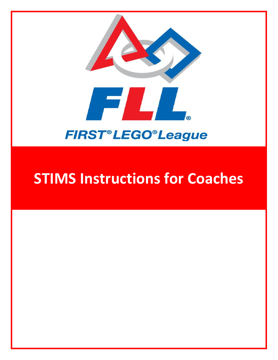

# **STIMS Instructions for Coaches**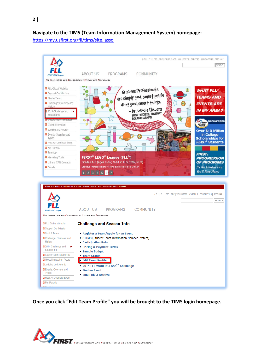## **Navigate to the TIMS (Team Information Management System) homepage:**

<https://my.usfirst.org/fll/tims/site.lasso>



**Once you click "Edit Team Profile" you will be brought to the TIMS login homepage.**

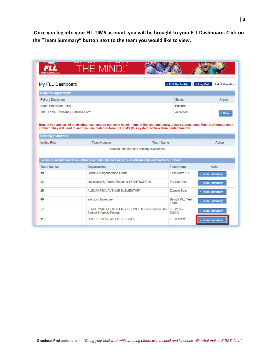**Once you log into your FLL TIMS account, you will be brought to your FLL Dashboard. Click on the "Team Summary" button next to the team you would like to view.** 

|                                   | THE MIND!"                                                                                      |                                  |                         |                          |
|-----------------------------------|-------------------------------------------------------------------------------------------------|----------------------------------|-------------------------|--------------------------|
| My FLL Dashboard                  |                                                                                                 | $\triangleright$ Edit My Profile | н                       | Log Out   Ask A Question |
| <b>Required Agreements</b>        |                                                                                                 |                                  |                         |                          |
| Policy / Document                 |                                                                                                 |                                  | <b>Status</b>           | Action                   |
| <b>Youth Protection Policy</b>    |                                                                                                 |                                  | <b>Passed</b>           |                          |
| 2015 FIRST Consent & Release Form |                                                                                                 |                                  | Accepted                | ▶ View                   |
|                                   |                                                                                                 |                                  |                         |                          |
| <b>Pending Invitations</b>        |                                                                                                 |                                  |                         |                          |
| <b>Invited Role</b>               | <b>Team Number</b>                                                                              | <b>Team Name</b>                 |                         | Action                   |
|                                   | (You do not have any pending invitations)                                                       |                                  |                         |                          |
|                                   | Teams I Can Administer as a Purchaser, Main (Lead Coach 1), or Alternate (Lead Coach 2) Contact |                                  |                         |                          |
| <b>Team Number</b>                | Organizations                                                                                   | <b>Team Name</b>                 |                         | Action                   |
| 19                                | Glenn & Neighborhood Group                                                                      |                                  | Test Team 100           | ▶ Team Summary           |
| 23                                | boy scouts & Family Friends & HOME SCHOOL                                                       |                                  | <b>Fat Cat Bots</b>     | ▶ Team Summary           |
| 25                                | ALEXANDRIA AVENUE ELEMENTARY                                                                    |                                  | <b>Zombie Bots</b>      | ▶ Team Summary           |
| 49                                | We don't have one                                                                               | Team                             | <b>Betsy's FLL Test</b> | ▶ Team Summary           |
| 57                                | ELMS ROAD ELEMENTARY SCHOOL & Flint Country Day<br>School & Family Friends                      | <b>LEGO my</b><br><b>EGGO</b>    |                         | ▶ Team Summary           |
| 110                               | COOPERATIVE MIDDLE SCHOOL                                                                       | <b>TEST</b> team                 |                         | ▶ Team Summary           |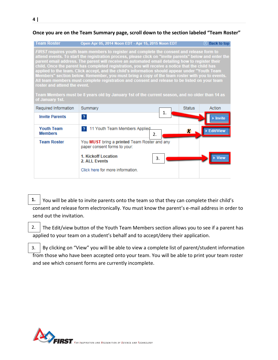#### **Once you are on the Team Summary page, scroll down to the section labeled "Team Roster"**

| <b>Team Roster</b>                              | Open Apr 05, 2014 Noon EDT - Apr 15, 2015 Noon EDT                                                                                                                                                                                                                                                                                                                                                                                                                                                                                                                                                                                                                                                                                                                                                                 |    |               | <b>Back to top</b> |
|-------------------------------------------------|--------------------------------------------------------------------------------------------------------------------------------------------------------------------------------------------------------------------------------------------------------------------------------------------------------------------------------------------------------------------------------------------------------------------------------------------------------------------------------------------------------------------------------------------------------------------------------------------------------------------------------------------------------------------------------------------------------------------------------------------------------------------------------------------------------------------|----|---------------|--------------------|
| roster and attend the event.<br>of January 1st. | FIRST requires youth team members to register and complete the consent and release form to<br>attend events. To start the registration process, please click on "invite parents" below and enter the<br>parent email address. The parent will receive an automated email detailing how to register their<br>child. Once the parent has completed registration, you will receive a notice that the child has<br>applied to the team. Click accept, and the child's information should appear under "Youth Team<br>Members" section below. Remember, you must bring a copy of the team roster with you to events.<br>All team members must complete registration and consent and release to be listed on your team<br>Team Members must be 8 years old by January 1st of the current season, and no older than 14 as |    |               |                    |
| Required Information                            | Summary                                                                                                                                                                                                                                                                                                                                                                                                                                                                                                                                                                                                                                                                                                                                                                                                            | 1. | <b>Status</b> | Action             |
| <b>Invite Parents</b>                           | $\overline{?}$                                                                                                                                                                                                                                                                                                                                                                                                                                                                                                                                                                                                                                                                                                                                                                                                     |    |               |                    |
| <b>Youth Team</b><br><b>Members</b>             | 11 Youth Team Members Applied<br>$\overline{2}$<br>2.                                                                                                                                                                                                                                                                                                                                                                                                                                                                                                                                                                                                                                                                                                                                                              |    | x             | <b>Edit/View</b>   |
| <b>Team Roster</b>                              | You MUST bring a printed Team Roster and any<br>paper consent forms to your:<br>1. Kickoff Location<br>2. ALL Events<br>Click here for more information.                                                                                                                                                                                                                                                                                                                                                                                                                                                                                                                                                                                                                                                           | 3. |               |                    |
|                                                 |                                                                                                                                                                                                                                                                                                                                                                                                                                                                                                                                                                                                                                                                                                                                                                                                                    |    |               |                    |

- 1.  $\vert$  You will be able to invite parents onto the team so that they can complete their child's consent and release form electronically. You must know the parent's e-mail address in order to send out the invitation.
- The Edit/view button of the Youth Team Members section allows you to see if a parent has applied to your team on a student's behalf and to accept/deny their application. 2.
- By clicking on "View" you will be able to view a complete list of parent/student information from those who have been accepted onto your team. You will be able to print your team roster and see which consent forms are currently incomplete. 3.

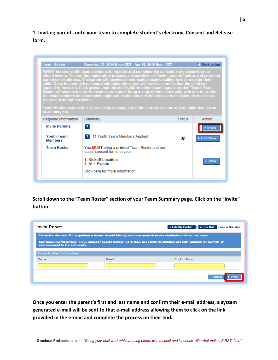**1. Inviting parents onto your team to complete student's electronic Consent and Release form.** 

| <b>Team Roster</b>                              | Open Apr 05, 2014 Noon EDT - Apr 15, 2015 Noon EDT                                                                                                                                                                                                                                                                                                                                                                                                                                                                                                                                                                                                                                                                                                                                                                 |               | <b>Back to top</b> |
|-------------------------------------------------|--------------------------------------------------------------------------------------------------------------------------------------------------------------------------------------------------------------------------------------------------------------------------------------------------------------------------------------------------------------------------------------------------------------------------------------------------------------------------------------------------------------------------------------------------------------------------------------------------------------------------------------------------------------------------------------------------------------------------------------------------------------------------------------------------------------------|---------------|--------------------|
| roster and attend the event.<br>of January 1st. | FIRST requires youth team members to register and complete the consent and release form to<br>attend events. To start the registration process, please click on "invite parents" below and enter the<br>parent email address. The parent will receive an automated email detailing how to register their<br>child. Once the parent has completed registration, you will receive a notice that the child has<br>applied to the team. Click accept, and the child's information should appear under "Youth Team<br>Members" section below. Remember, you must bring a copy of the team roster with you to events.<br>All team members must complete registration and consent and release to be listed on your team<br>Team Members must be 8 years old by January 1st of the current season, and no older than 14 as |               |                    |
| Required Information                            | Summary                                                                                                                                                                                                                                                                                                                                                                                                                                                                                                                                                                                                                                                                                                                                                                                                            | <b>Status</b> | Action             |
| <b>Invite Parents</b>                           | $\overline{2}$                                                                                                                                                                                                                                                                                                                                                                                                                                                                                                                                                                                                                                                                                                                                                                                                     |               | Invite             |
| <b>Youth Team</b><br><b>Members</b>             | $\overline{2}$<br>11 Youth Team Members Applied                                                                                                                                                                                                                                                                                                                                                                                                                                                                                                                                                                                                                                                                                                                                                                    | x             | ▶ Edit/View        |
| <b>Team Roster</b>                              | You MUST bring a printed Team Roster and any<br>paper consent forms to your:<br>1. Kickoff Location<br>2. ALL Events                                                                                                                                                                                                                                                                                                                                                                                                                                                                                                                                                                                                                                                                                               |               | <b>View</b>        |
|                                                 | Click here for more information                                                                                                                                                                                                                                                                                                                                                                                                                                                                                                                                                                                                                                                                                                                                                                                    |               |                    |

**Scroll down to the "Team Roster" section of your Team Summary page, Click on the "Invite" button.**

| To derive the best FLL experience teams should ideally not have more than ten students\children per team.                                            |       |               |  |  |
|------------------------------------------------------------------------------------------------------------------------------------------------------|-------|---------------|--|--|
| Any teams participating in FLL sponsor events having more than ten students\children are NOT eligible for awards or<br>advancement to tiered events. |       |               |  |  |
| <b>Parent Contact Information</b>                                                                                                                    |       |               |  |  |
|                                                                                                                                                      |       |               |  |  |
| <b>Name</b>                                                                                                                                          | Email | Confirm Email |  |  |

**Once you enter the parent's first and last name and confirm their e-mail address, a system generated e-mail will be sent to that e-mail address allowing them to click on the link provided in the e-mail and complete the process on their end.**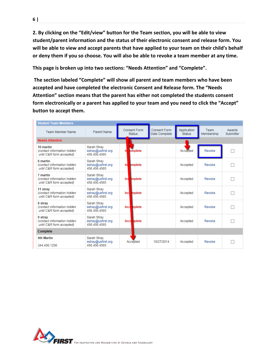**2. By clicking on the "Edit/view" button for the Team section, you will be able to view student/parent information and the status of their electronic consent and release form. You will be able to view and accept parents that have applied to your team on their child's behalf or deny them if you so choose. You will also be able to revoke a team member at any time.** 

**This page is broken up into two sections: "Needs Attention" and "Complete".**

**The section labeled "Complete" will show all parent and team members who have been accepted and have completed the electronic Consent and Release form. The "Needs Attention" section means that the parent has either not completed the students consent form electronically or a parent has applied to your team and you need to click the "Accept" button to accept them.** 

| <b>Student Team Members</b>                                           |                                                   |                                      |                                      |                              |                    |                     |
|-----------------------------------------------------------------------|---------------------------------------------------|--------------------------------------|--------------------------------------|------------------------------|--------------------|---------------------|
| <b>Team Member Name</b>                                               | Parent Name                                       | <b>Consent Form</b><br><b>Status</b> | <b>Consent Form</b><br>Date Complete | Application<br><b>Status</b> | Team<br>Membership | Awards<br>Submitter |
| <b>Needs Attention</b>                                                |                                                   |                                      |                                      |                              |                    |                     |
| 10 martin<br>(contact information hidden)<br>until C&R form accepted) | Sarah Strav<br>sstray@usfirst.org<br>456 456 4565 | Irl<br>omplete                       |                                      | Accepted                     | Revoke             |                     |
| 6 martin<br>(contact information hidden<br>until C&R form accepted)   | Sarah Stray<br>sstray@usfirst.org<br>456 456 4565 | bmplete<br>In                        |                                      | Accepted                     | Revoke             |                     |
| 7 martin<br>(contact information hidden<br>until C&R form accepted)   | Sarah Stray<br>sstray@usfirst.org<br>456.456.4565 | mplete<br>Ind                        |                                      | Accepted                     | Revoke             |                     |
| 11 stray<br>(contact information hidden)<br>until C&R form accepted)  | Sarah Stray<br>sstray@usfirst.org<br>456 456 4565 | mplete<br>Ind                        |                                      | Accepted                     | Revoke             |                     |
| 8 strav<br>(contact information hidden<br>until C&R form accepted)    | Sarah Strav<br>sstray@usfirst.org<br>456 456 4565 | hplete<br>Inco                       |                                      | Accepted                     | Revoke             |                     |
| 9 strav<br>(contact information hidden)<br>until C&R form accepted)   | Sarah Stray<br>sstray@usfirst.org<br>456 456 4565 | holete<br>Inco                       |                                      | Accepted                     | Revoke             |                     |
| Complete                                                              |                                                   |                                      |                                      |                              |                    |                     |
| 4th Martin<br>344.456.1256                                            | Sarah Stray<br>sstray@usfirst.org<br>456.456.4565 | Accepted                             | 10/27/2014                           | Accepted                     | Revoke             |                     |

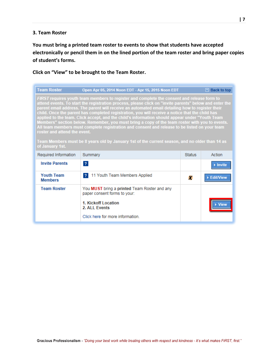### **3. Team Roster**

**You must bring a printed team roster to events to show that students have accepted electronically or pencil them in on the lined portion of the team roster and bring paper copies of student's forms.** 

## **Click on "View" to be brought to the Team Roster.**

| <b>Team Roster</b>                                                                                                                                                                                                                                                                                                                                                                                                                                                                                                                                                                                                                                                                                                                                                                                                                                                    | Open Apr 05, 2014 Noon EDT - Apr 15, 2015 Noon EDT                           |               | <b>Back to top</b>           |  |  |
|-----------------------------------------------------------------------------------------------------------------------------------------------------------------------------------------------------------------------------------------------------------------------------------------------------------------------------------------------------------------------------------------------------------------------------------------------------------------------------------------------------------------------------------------------------------------------------------------------------------------------------------------------------------------------------------------------------------------------------------------------------------------------------------------------------------------------------------------------------------------------|------------------------------------------------------------------------------|---------------|------------------------------|--|--|
| FIRST requires youth team members to register and complete the consent and release form to<br>attend events. To start the registration process, please click on "invite parents" below and enter the<br>parent email address. The parent will receive an automated email detailing how to register their<br>child. Once the parent has completed registration, you will receive a notice that the child has<br>applied to the team. Click accept, and the child's information should appear under "Youth Team<br>Members" section below. Remember, you must bring a copy of the team roster with you to events.<br>All team members must complete registration and consent and release to be listed on your team<br>roster and attend the event.<br>Team Members must be 8 years old by January 1st of the current season, and no older than 14 as<br>of January 1st. |                                                                              |               |                              |  |  |
| Required Information                                                                                                                                                                                                                                                                                                                                                                                                                                                                                                                                                                                                                                                                                                                                                                                                                                                  | Summary                                                                      | <b>Status</b> | Action                       |  |  |
| <b>Invite Parents</b>                                                                                                                                                                                                                                                                                                                                                                                                                                                                                                                                                                                                                                                                                                                                                                                                                                                 | $\overline{2}$                                                               |               | $\blacktriangleright$ Invite |  |  |
| <b>Youth Team</b><br><b>Members</b>                                                                                                                                                                                                                                                                                                                                                                                                                                                                                                                                                                                                                                                                                                                                                                                                                                   | 11 Youth Team Members Applied<br>$\overline{2}$                              | X             | ▶ Edit/View                  |  |  |
| <b>Team Roster</b>                                                                                                                                                                                                                                                                                                                                                                                                                                                                                                                                                                                                                                                                                                                                                                                                                                                    | You MUST bring a printed Team Roster and any<br>paper consent forms to your: |               |                              |  |  |
|                                                                                                                                                                                                                                                                                                                                                                                                                                                                                                                                                                                                                                                                                                                                                                                                                                                                       | 1. Kickoff Location<br>2. ALL Events                                         |               |                              |  |  |
|                                                                                                                                                                                                                                                                                                                                                                                                                                                                                                                                                                                                                                                                                                                                                                                                                                                                       | Click here for more information.                                             |               |                              |  |  |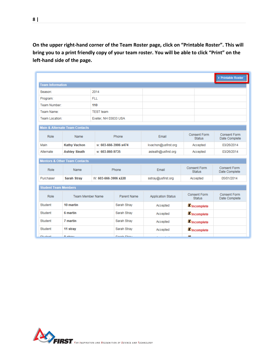**On the upper right-hand corner of the Team Roster page, click on "Printable Roster". This will bring you to a print friendly copy of your team roster. You will be able to click "Print" on the left-hand side of the page.**

| ▶ Printable Roster          |                                           |                      |                    |                           |                                      |                                      |
|-----------------------------|-------------------------------------------|----------------------|--------------------|---------------------------|--------------------------------------|--------------------------------------|
| <b>Team Information</b>     |                                           |                      |                    |                           |                                      |                                      |
| Season:                     |                                           | 2014                 |                    |                           |                                      |                                      |
| Program:                    |                                           | <b>FLL</b>           |                    |                           |                                      |                                      |
| Team Number:                |                                           | 110                  |                    |                           |                                      |                                      |
| Team Name:                  |                                           | <b>TEST</b> team     |                    |                           |                                      |                                      |
| Team Location:              |                                           | Exeter, NH 03833 USA |                    |                           |                                      |                                      |
|                             | <b>Main &amp; Alternate Team Contacts</b> |                      |                    |                           |                                      |                                      |
| Role                        | Name                                      |                      | Phone              | Email                     | <b>Consent Form</b><br><b>Status</b> | <b>Consent Form</b><br>Date Complete |
| Main                        | <b>Kathy Vachon</b>                       | w: 603-666-3906 x474 |                    | kvachon@usfirst.org       | Accepted                             | 03/26/2014                           |
| Alternate                   | <b>Ashley Sleath</b>                      | w: 603-860-9735      |                    | asleath@usfirst.org       | Accepted                             | 03/26/2014                           |
|                             | <b>Mentors &amp; Other Team Contacts</b>  |                      |                    |                           |                                      |                                      |
| Role                        | Name                                      |                      | Phone              | Email                     | <b>Consent Form</b><br><b>Status</b> | <b>Consent Form</b><br>Date Complete |
| Purchaser                   | <b>Sarah Stray</b>                        | W: 603-666-3906 x228 |                    | sstray@usfirst.org        | Accepted                             | 05/01/2014                           |
| <b>Student Team Members</b> |                                           |                      |                    |                           |                                      |                                      |
| Role                        | <b>Team Member Name</b>                   |                      | Parent Name        | <b>Application Status</b> | <b>Consent Form</b><br><b>Status</b> | <b>Consent Form</b><br>Date Complete |
| Student                     | 10 martin                                 |                      | Sarah Stray        | Accepted                  | <b>X</b> Incomplete                  |                                      |
| Student                     | 6 martin                                  |                      |                    | Accepted                  | <b>X</b> Incomplete                  |                                      |
| Student                     | 7 martin                                  |                      |                    | Accepted                  | <b>X</b> Incomplete                  |                                      |
| Student                     | 11 stray                                  |                      |                    | Accepted                  | X Incomplete                         |                                      |
| Ohiolant                    | 0 atenu                                   |                      | <b>Darah Otrau</b> |                           | 67                                   |                                      |